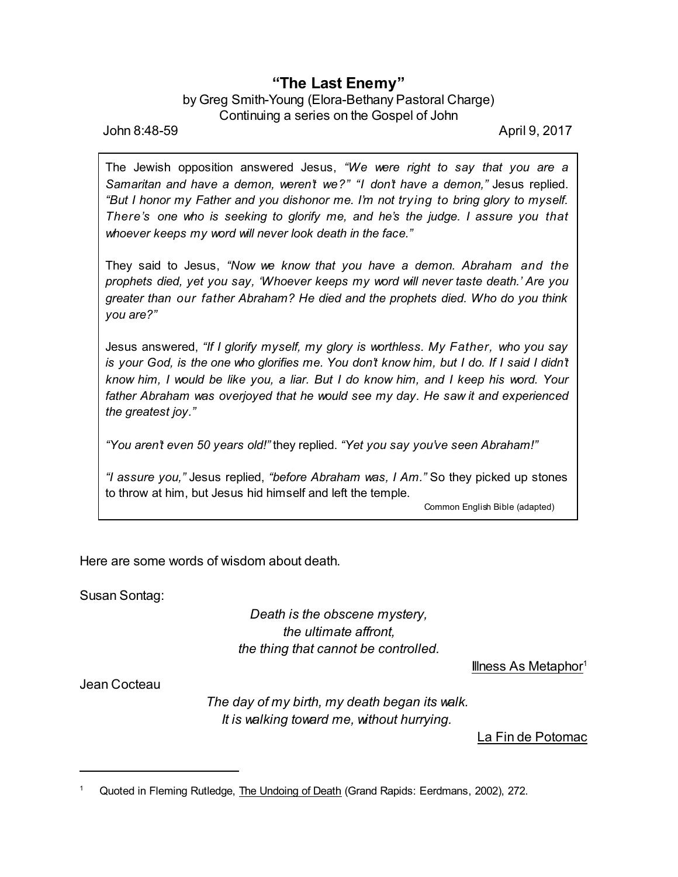## **"The Last Enemy"**

## by Greg Smith-Young (Elora-Bethany Pastoral Charge) Continuing a series on the Gospel of John

John 8:48-59 April 9, 2017

The Jewish opposition answered Jesus, *"We were right to say that you are a Samaritan and have a demon, weren't we?" "I don't have a demon,"* Jesus replied. *"But I honor my Father and you dishonor me. I'm not trying to bring glory to myself. There's one who is seeking to glorify me, and he's the judge. I assure you that whoever keeps my word will never look death in the face."*

They said to Jesus, *"Now we know that you have a demon. Abraham and the prophets died, yet you say, 'Whoever keeps my word will never taste death.' Are you greater than our father Abraham? He died and the prophets died. Who do you think you are?"*

Jesus answered, *"If I glorify myself, my glory is worthless. My Father, who you say* is your God, is the one who glorifies me. You don't know him, but I do. If I said I didn't *know him, I would be like you, a liar. But I do know him, and I keep his word. Your father Abraham was overjoyed that he would see my day. He saw it and experienced the greatest joy."*

*"You aren't even 50 years old!"* they replied. *"Yet you say you've seen Abraham!"*

*"I assure you,"* Jesus replied, *"before Abraham was, I Am."* So they picked up stones to throw at him, but Jesus hid himself and left the temple.

Common English Bible (adapted)

Here are some words of wisdom about death.

Susan Sontag:

*Death is the obscene mystery, the ultimate affront, the thing that cannot be controlled.*

Illness As Metaphor $1$ 

Jean Cocteau

*The day of my birth, my death began its walk. It is walking toward me, without hurrying.*

La Fin de Potomac

Quoted in Fleming Rutledge, The Undoing of Death (Grand Rapids: Eerdmans, 2002), 272.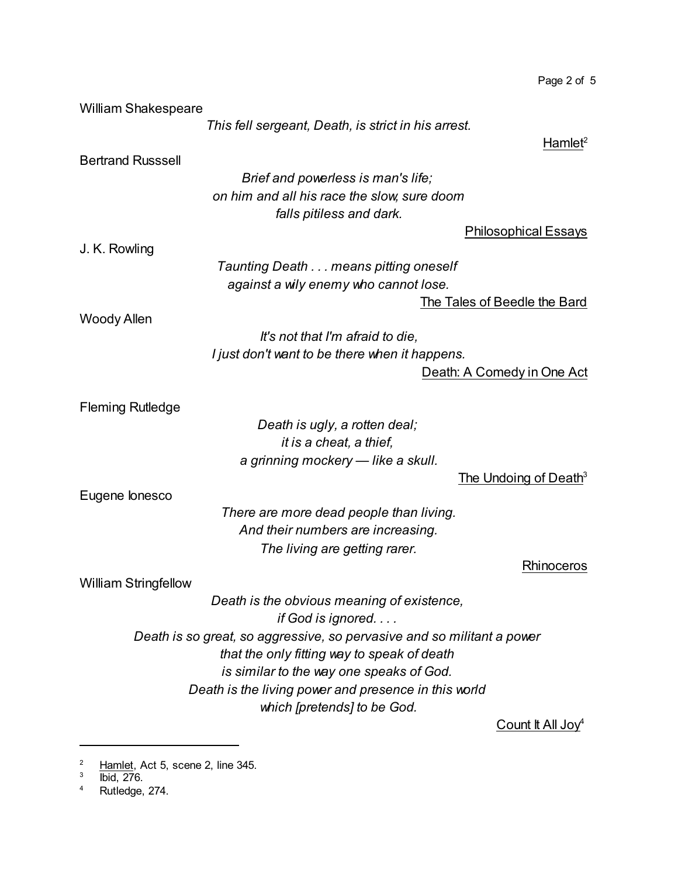| <b>William Shakespeare</b>                           |                                                                               |                                   |
|------------------------------------------------------|-------------------------------------------------------------------------------|-----------------------------------|
|                                                      | This fell sergeant, Death, is strict in his arrest.                           |                                   |
|                                                      |                                                                               | Hamlet <sup>2</sup>               |
| <b>Bertrand Russsell</b>                             |                                                                               |                                   |
|                                                      | Brief and powerless is man's life;                                            |                                   |
|                                                      | on him and all his race the slow, sure doom                                   |                                   |
|                                                      | falls pitiless and dark.                                                      |                                   |
|                                                      |                                                                               | <b>Philosophical Essays</b>       |
| J. K. Rowling                                        |                                                                               |                                   |
|                                                      | Taunting Death means pitting oneself<br>against a wily enemy who cannot lose. |                                   |
|                                                      |                                                                               | The Tales of Beedle the Bard      |
| <b>Woody Allen</b>                                   |                                                                               |                                   |
|                                                      | It's not that I'm afraid to die,                                              |                                   |
|                                                      | I just don't want to be there when it happens.                                |                                   |
|                                                      |                                                                               | Death: A Comedy in One Act        |
|                                                      |                                                                               |                                   |
| <b>Fleming Rutledge</b>                              |                                                                               |                                   |
|                                                      | Death is ugly, a rotten deal;                                                 |                                   |
|                                                      | it is a cheat, a thief,                                                       |                                   |
|                                                      | a grinning mockery - like a skull.                                            | The Undoing of Death <sup>3</sup> |
| Eugene lonesco                                       |                                                                               |                                   |
|                                                      | There are more dead people than living.                                       |                                   |
|                                                      | And their numbers are increasing.                                             |                                   |
|                                                      | The living are getting rarer.                                                 |                                   |
|                                                      |                                                                               | Rhinoceros                        |
| <b>William Stringfellow</b>                          |                                                                               |                                   |
|                                                      | Death is the obvious meaning of existence,<br>if God is ignored               |                                   |
|                                                      | Death is so great, so aggressive, so pervasive and so militant a power        |                                   |
|                                                      | that the only fitting way to speak of death                                   |                                   |
|                                                      | is similar to the way one speaks of God.                                      |                                   |
| Death is the living power and presence in this world |                                                                               |                                   |
|                                                      | which [pretends] to be God.                                                   |                                   |
|                                                      |                                                                               | Count It All Joy <sup>4</sup>     |

Page 2 of 5

 $\frac{2}{3}$  Hamlet, Act 5, scene 2, line 345.<br><sup>3</sup> bid, 276.

<sup>4</sup> Rutledge, 274.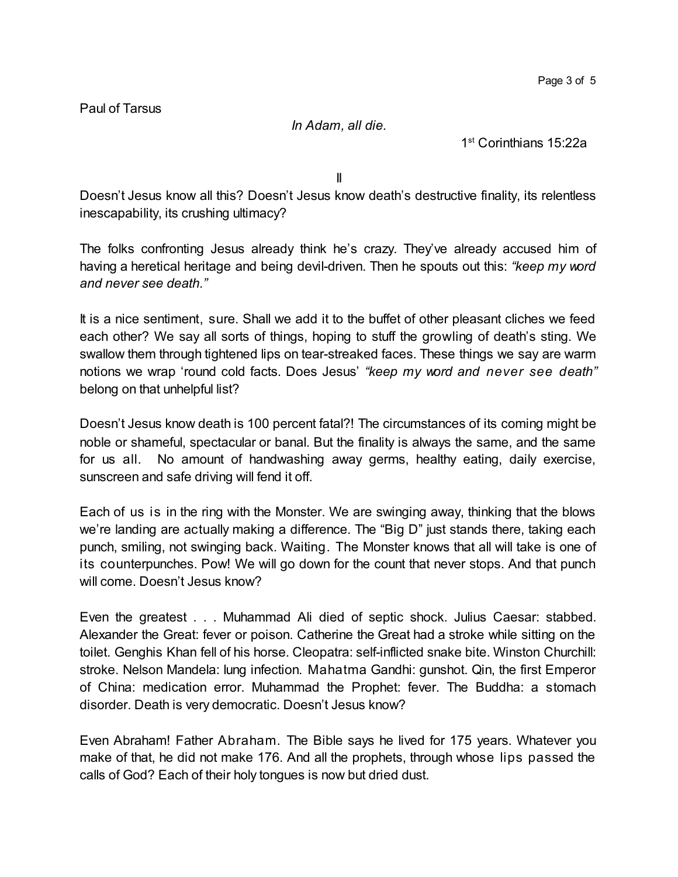Paul of Tarsus

*In Adam, all die.*

1 st Corinthians 15:22a

II

Doesn't Jesus know all this? Doesn't Jesus know death's destructive finality, its relentless inescapability, its crushing ultimacy?

The folks confronting Jesus already think he's crazy. They've already accused him of having a heretical heritage and being devil-driven. Then he spouts out this: *"keep my word and never see death."*

It is a nice sentiment, sure. Shall we add it to the buffet of other pleasant cliches we feed each other? We say all sorts of things, hoping to stuff the growling of death's sting. We swallow them through tightened lips on tear-streaked faces. These things we say are warm notions we wrap 'round cold facts. Does Jesus' *"keep my word and never see death"* belong on that unhelpful list?

Doesn't Jesus know death is 100 percent fatal?! The circumstances of its coming might be noble or shameful, spectacular or banal. But the finality is always the same, and the same for us all. No amount of handwashing away germs, healthy eating, daily exercise, sunscreen and safe driving will fend it off.

Each of us is in the ring with the Monster. We are swinging away, thinking that the blows we're landing are actually making a difference. The "Big D" just stands there, taking each punch, smiling, not swinging back. Waiting. The Monster knows that all will take is one of its counterpunches. Pow! We will go down for the count that never stops. And that punch will come. Doesn't Jesus know?

Even the greatest . . . Muhammad Ali died of septic shock. Julius Caesar: stabbed. Alexander the Great: fever or poison. Catherine the Great had a stroke while sitting on the toilet. Genghis Khan fell of his horse. Cleopatra: self-inflicted snake bite. Winston Churchill: stroke. Nelson Mandela: lung infection. Mahatma Gandhi: gunshot. Qin, the first Emperor of China: medication error. Muhammad the Prophet: fever. The Buddha: a stomach disorder. Death is very democratic. Doesn't Jesus know?

Even Abraham! Father Abraham. The Bible says he lived for 175 years. Whatever you make of that, he did not make 176. And all the prophets, through whose lips passed the calls of God? Each of their holy tongues is now but dried dust.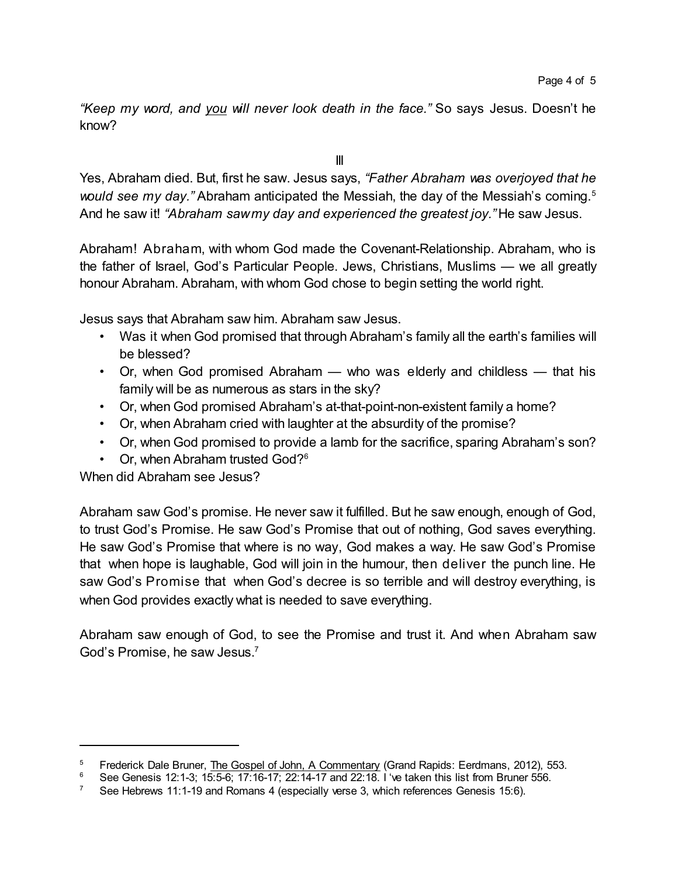*"Keep my word, and you will never look death in the face."* So says Jesus. Doesn't he know?

III

Yes, Abraham died. But, first he saw. Jesus says, *"Father Abraham was overjoyed that he would see my day."* Abraham anticipated the Messiah, the day of the Messiah's coming.<sup>5</sup> And he saw it! *"Abraham sawmy day and experienced the greatest joy."* He saw Jesus.

Abraham! Abraham, with whom God made the Covenant-Relationship. Abraham, who is the father of Israel, God's Particular People. Jews, Christians, Muslims — we all greatly honour Abraham. Abraham, with whom God chose to begin setting the world right.

Jesus says that Abraham saw him. Abraham saw Jesus.

- Was it when God promised that through Abraham's family all the earth's families will be blessed?
- Or, when God promised Abraham who was elderly and childless that his family will be as numerous as stars in the sky?
- Or, when God promised Abraham's at-that-point-non-existent family a home?
- Or, when Abraham cried with laughter at the absurdity of the promise?
- Or, when God promised to provide a lamb for the sacrifice, sparing Abraham's son?
- Or, when Abraham trusted God?<sup>6</sup>

When did Abraham see Jesus?

Abraham saw God's promise. He never saw it fulfilled. But he saw enough, enough of God, to trust God's Promise. He saw God's Promise that out of nothing, God saves everything. He saw God's Promise that where is no way, God makes a way. He saw God's Promise that when hope is laughable, God will join in the humour, then deliver the punch line. He saw God's Promise that when God's decree is so terrible and will destroy everything, is when God provides exactly what is needed to save everything.

Abraham saw enough of God, to see the Promise and trust it. And when Abraham saw God's Promise, he saw Jesus.<sup>7</sup>

<sup>&</sup>lt;sup>5</sup> Frederick Dale Bruner, <u>The Gospel of John, A Commentary</u> (Grand Rapids: Eerdmans, 2012), 553.<br><sup>6</sup> See Conceis 12:1.2: 15:5.6: 17:16.17: 22:14.17 and 22:19. Live taken this list from Bruner 556.

<sup>6</sup> See Genesis 12:1-3; 15:5-6; 17:16-17; 22:14-17 and 22:18. I 've taken this list from Bruner 556.

<sup>&</sup>lt;sup>7</sup> See Hebrews 11:1-19 and Romans 4 (especially verse 3, which references Genesis 15:6).